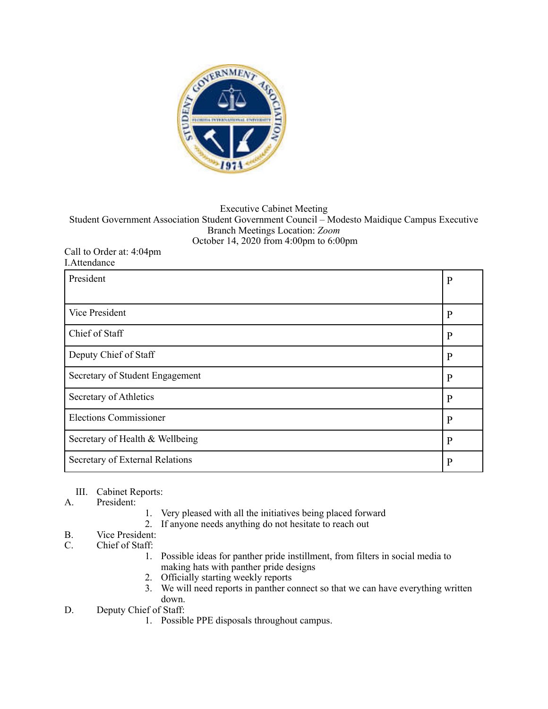

## Executive Cabinet Meeting Student Government Association Student Government Council – Modesto Maidique Campus Executive Branch Meetings Location: *Zoom*  October 14, 2020 from 4:00pm to 6:00pm

## Call to Order at: 4:04pm I.Attendance

| President                       | $\mathbf{P}$ |
|---------------------------------|--------------|
|                                 |              |
| Vice President                  | $\mathbf{P}$ |
| Chief of Staff                  | P            |
| Deputy Chief of Staff           | $\mathbf{P}$ |
| Secretary of Student Engagement | $\mathbf{P}$ |
| Secretary of Athletics          | $\mathbf{P}$ |
| <b>Elections Commissioner</b>   | $\mathbf{P}$ |
| Secretary of Health & Wellbeing | $\mathbf{P}$ |
| Secretary of External Relations | P            |

## III. Cabinet Reports:

- A. President:
- 1. Very pleased with all the initiatives being placed forward
- 2. If anyone needs anything do not hesitate to reach out

## B. Vice President:<br>C. Chief of Staff:

- Chief of Staff:
	- 1. Possible ideas for panther pride instillment, from filters in social media to making hats with panther pride designs
	- 2. Officially starting weekly reports
	- 3. We will need reports in panther connect so that we can have everything written down.
- D. Deputy Chief of Staff:
	- 1. Possible PPE disposals throughout campus.